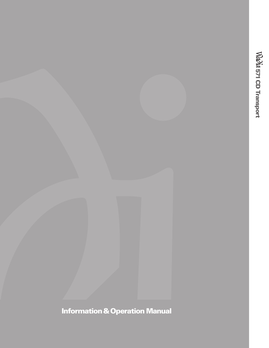**Information&Operation Manual**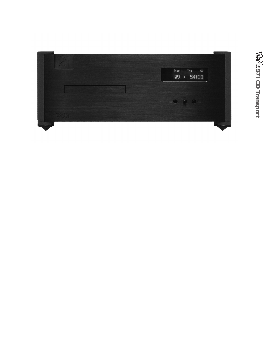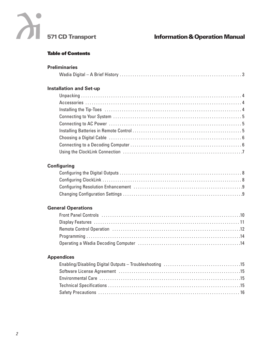

#### **Information&Operation Manual**

#### **Table of Contents**

| <b>Preliminaries</b>           |  |
|--------------------------------|--|
|                                |  |
|                                |  |
| <b>Installation and Set-up</b> |  |
|                                |  |
|                                |  |
|                                |  |
|                                |  |
|                                |  |
|                                |  |
|                                |  |
|                                |  |
|                                |  |
|                                |  |

#### **Configuring**

#### **General Operations**

#### **Appendices**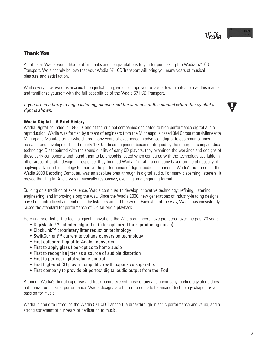#### **Thank You**

All of us at Wadia would like to offer thanks and congratulations to you for purchasing the Wadia 571 CD Transport. We sincerely believe that your Wadia 571 CD Transport will bring you many years of musical pleasure and satisfaction.

While every new owner is anxious to begin listening, we encourage you to take a few minutes to read this manual and familiarize yourself with the full capabilities of the Wadia 571 CD Transport.

If you are in a hurry to begin listening, please read the sections of this manual where the symbol at *right is shown.*



#### **Wadia Digital – A Brief History**

Wadia Digital, founded in 1988, is one of the original companies dedicated to high performance digital audio reproduction. Wadia was formed by a team of engineers from the Minneapolis based 3M Corporation (Minnesota Mining and Manufacturing) who shared many years of experience in advanced digital telecommunications research and development. In the early 1980's, these engineers became intrigued by the emerging compact disc technology. Disappointed with the sound quality of early CD players, they examined the workings and designs of these early components and found them to be unsophisticated when compared with the technology available in other areas of digital design. In response, they founded Wadia Digital – a company based on the philosophy of applying advanced technology to improve the performance of digital audio components. Wadia's first product, the Wadia 2000 Decoding Computer, was an absolute breakthrough in digital audio. For many discerning listeners, it proved that Digital Audio was a musically responsive, evolving, and engaging format.

Building on a tradition of excellence, Wadia continues to develop innovative technology; refining, listening, engineering, and improving along the way. Since the Wadia 2000, new generations of industry-leading designs have been introduced and embraced by listeners around the world. Each step of the way, Wadia has consistently raised the standard for performance of Digital Audio playback.

Here is a brief list of the technological innovations the Wadia engineers have pioneered over the past 20 years:

- DigiMaster™ patented algorithm (filter optimized for reproducing music)
- ClockLink™ proprietary jitter reduction technology
- SwiftCurrent™ current to voltage conversion technology
- First outboard Digital-to-Analog converter
- First to apply glass fiber-optics to home audio
- First to recognize jitter as a source of audible distortion
- First to perfect digital volume control
- First high-end CD player competitive with expensive separates
- First company to provide bit perfect digital audio output from the iPod

Although Wadia's digital expertise and track record exceed those of any audio company, technology alone does not guarantee musical performance. Wadia designs are born of a delicate balance of technology shaped by a passion for music.

Wadia is proud to introduce the Wadia 571 CD Transport, a breakthrough in sonic performance and value, and a strong statement of our years of dedication to music.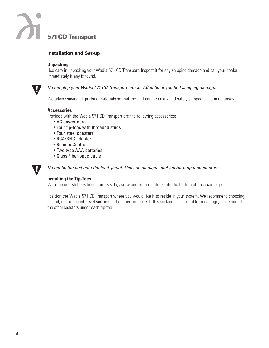

#### **Installation and Set-up**

#### **Unpacking**

Use care in unpacking your Wadia 571 CD Transport. Inspect it for any shipping damage and call your dealer immediately if any is found.



#### *Do not plug your Wadia 571 CD Transport into an AC outlet if you find shipping damage.*

We advise saving all packing materials so that the unit can be easily and safely shipped if the need arises.

#### **Accessories**

Provided with the Wadia 571 CD Transport are the following accessories:

- AC power cord
- Four tip-toes with threaded studs
- Four steel coasters
- RCA/BNC adapter
- Remote Control
- Two type AAA batteries
- Glass Fiber-optic cable



*Do not tip the unit onto the back panel. This can damage input and/or output connectors.*

#### **Installing the Tip-Toes**

With the unit still positioned on its side, screw one of the tip-toes into the bottom of each corner post.

Position the Wadia 571 CD Transport where you would like it to reside in your system. We recommend choosing a solid, non-resonant, level surface for best performance. If this surface is susceptible to damage, place one of the steel coasters under each tip-toe.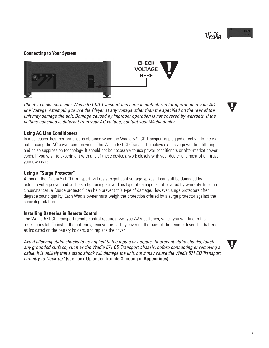Wadia

#### **Connecting to Your System**

*Check to make sure your Wadia 571 CD Transport has been manufactured for operation at your AC* line Voltage. Attempting to use the Player at any voltage other than the specified on the rear of the *unit may damage the unit. Damage caused by improper operation is not covered by warranty. If the voltage specified is different from your AC voltage, contact your Wadia dealer.*

#### **Using AC Line Conditioners**

In most cases, best performance is obtained when the Wadia 571 CD Transport is plugged directly into the wall outlet using the AC power cord provided. The Wadia 571 CD Transport employs extensive power-line filtering and noise suppression technology. It should not be necessary to use power conditioners or after-market power cords. If you wish to experiment with any of these devices, work closely with your dealer and most of all, trust your own ears.

#### **Using a "Surge Protector"**

Although the Wadia 571 CD Transport will resist significant voltage spikes, it can still be damaged by extreme voltage overload such as a lightening strike. This type of damage is not covered by warranty. In some circumstances, a "surge protector" can help prevent this type of damage. However, surge protectors often degrade sound quality. Each Wadia owner must weigh the protection offered by a surge protector against the sonic degradation.

#### **Installing Batteries in Remote Control**

The Wadia 571 CD Transport remote control requires two type-AAA batteries, which you will find in the accessories kit. To install the batteries, remove the battery cover on the back of the remote. Insert the batteries as indicated on the battery holders, and replace the cover.

*Avoid allowing static shocks to be applied to the inputs or outputs. To prevent static shocks, touch any grounded surface, such as the Wadia 571 CD Transport chassis, before connecting or removing a* cable. It is unlikely that a static shock will damage the unit, but it may cause the Wadia 571 CD Transport *circuitry to "lock-up"* (see Lock-Up under Trouble Shooting in **Appendices**)*.*







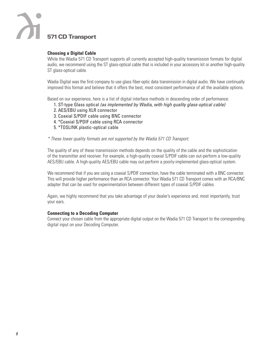# **120 STATES TRANSPORT**

#### **Choosing a Digital Cable**

While the Wadia 571 CD Transport supports all currently accepted high-quality transmission formats for digital audio, we recommend using the ST glass-optical cable that is included in your accessory kit or another high-quality ST glass-optical cable.

Wadia Digital was the first company to use glass fiber-optic data transmission in digital audio. We have continually improved this format and believe that it offers the best, most consistent performance of all the available options.

Based on our experience, here is a list of digital interface methods in descending order of performance:

- 1. ST-type Glass optical *(as implemented by Wadia, with high quality glass-optical cable)*
- 2. AES/EBU using XLR connector
- 3. Coaxial S/PDIF cable using BNC connector
- 4. \*Coaxial S/PDIF cable using RCA connector
- 5. \*TOSLINK plastic-optical cable

*\* These lower quality formats are not supported by the Wadia 571 CD Transport.*

The quality of any of these transmission methods depends on the quality of the cable and the sophistication of the transmitter and receiver. For example, a high-quality coaxial S/PDIF cable can out-perform a low-quality AES/EBU cable. A high-quality AES/EBU cable may out-perform a poorly-implemented glass-optical system.

We recommend that if you are using a coaxial S/PDIF connection, have the cable terminated with a BNC connector. This will provide higher performance than an RCA connector. Your Wadia 571 CD Transport comes with an RCA/BNC adapter that can be used for experimentation between different types of coaxial S/PDIF cables.

Again, we highly recommend that you take advantage of your dealer's experience and, most importantly, trust your ears.

#### **Connecting to a Decoding Computer**

Connect your chosen cable from the appropriate digital output on the Wadia 571 CD Transport to the corresponding digital input on your Decoding Computer.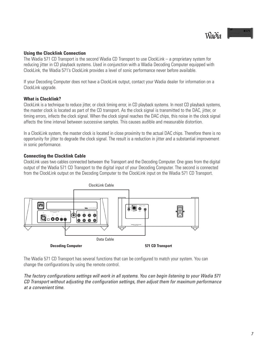#### **Using the Clocklink Connection**

The Wadia 571 CD Transport is the second Wadia CD Transport to use ClockLink – a proprietary system for reducing jitter in CD playback systems. Used in conjunction with a Wadia Decoding Computer equipped with ClockLink, the Wadia 571's ClockLink provides a level of sonic performance never before available.

If your Decoding Computer does not have a ClockLink output, contact your Wadia dealer for information on a ClockLink upgrade.

#### **What is Clocklink?**

ClockLink is a technique to reduce jitter, or clock timing error, in CD playback systems. In most CD playback systems, the master clock is located as part of the CD transport. As the clock signal is transmitted to the DAC, jitter, or timing errors, infects the clock signal. When the clock signal reaches the DAC chips, this noise in the clock signal affects the time interval between successive samples. This causes audible and measurable distortion.

In a ClockLink system, the master clock is located in close proximity to the actual DAC chips. Therefore there is no opportunity for jitter to degrade the clock signal. The result is a reduction in jitter and a substantial improvement in sonic performance.

#### **Connecting the Clocklink Cable**

ClockLink uses two cables connected between the Transport and the Decoding Computer. One goes from the digital output of the Wadia 571 CD Transport to the digital input of your Decoding Computer. The second is connected from the ClockLink output on the Decoding Computer to the ClockLink input on the Wadia 571 CD Transport.



The Wadia 571 CD Transport has several functions that can be configured to match your system. You can change the configurations by using the remote control.

*The factory configurations settings will work in all systems. You can begin listening to your Wadia 571 CD Transport without adjusting the configuration settings, then adjust them for maximum performance at a convenient time.*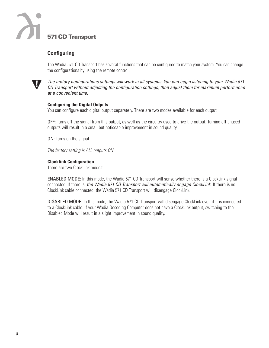

#### **Configuring**

The Wadia 571 CD Transport has several functions that can be configured to match your system. You can change the configurations by using the remote control.



*The factory configurations settings will work in all systems. You can begin listening to your Wadia 571 CD Transport without adjusting the configuration settings, then adjust them for maximum performance at a convenient time.*

#### **Configuring the Digital Outputs**

You can configure each digital output separately. There are two modes available for each output:

OFF: Turns off the signal from this output, as well as the circuitry used to drive the output. Turning off unused outputs will result in a small but noticeable improvement in sound quality.

ON: Turns on the signal.

*The factory setting is ALL outputs ON.*

#### **Clocklink Configuration**

There are two ClockLink modes:

ENABLED MODE: In this mode, the Wadia 571 CD Transport will sense whether there is a ClockLink signal connected. If there is, *the Wadia 571 CD Transport will automatically engage ClockLink*. If there is no ClockLink cable connected, the Wadia 571 CD Transport will disengage ClockLink.

DISABLED MODE: In this mode, the Wadia 571 CD Transport will disengage ClockLink even if it is connected to a ClockLink cable. If your Wadia Decoding Computer does not have a ClockLink output, switching to the Disabled Mode will result in a slight improvement in sound quality.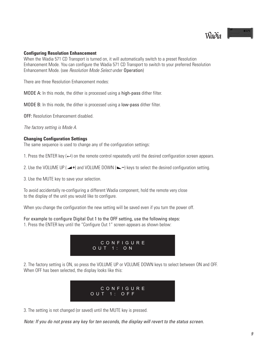

#### **Configuring Resolution Enhancement**

When the Wadia 571 CD Transport is turned on, it will automatically switch to a preset Resolution Enhancement Mode. You can configure the Wadia 571 CD Transport to switch to your preferred Resolution Enhancement Mode. (see *Resolution Mode Select* under Operation)

There are three Resolution Enhancement modes:

MODE A: In this mode, the dither is processed using a high-pass dither filter.

MODE B: In this mode, the dither is processed using a low-pass dither filter.

OFF: Resolution Enhancement disabled.

*The factory setting is Mode A.*

#### **Changing Configuration Settings**

The same sequence is used to change any of the configuration settings:

1. Press the ENTER key  $(\leftarrow)$  on the remote control repeatedly until the desired configuration screen appears.

2. Use the VOLUME UP ( $\rightarrow$ +) and VOLUME DOWN ( $\rightarrow$ -) keys to select the desired configuration setting.

3. Use the MUTE key to save your selection.

To avoid accidentally re-configuring a different Wadia component, hold the remote very close to the display of the unit you would like to configure.

When you change the configuration the new setting will be saved even if you turn the power off.

For example to configure Digital Out 1 to the OFF setting, use the following steps:

1. Press the ENTER key until the "Configure Out 1" screen appears as shown below:



2. The factory setting is ON, so press the VOLUME UP or VOLUME DOWN keys to select between ON and OFF. When OFF has been selected, the display looks like this:



3. The setting is not changed (or saved) until the MUTE key is pressed.

Note: If you do not press any key for ten seconds, the display will revert to the status screen.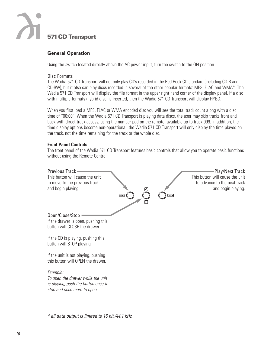

#### **General Operation**

Using the switch located directly above the AC power input, turn the switch to the ON position.

#### Disc Formats

The Wadia 571 CD Transport will not only play CD's recorded in the Red Book CD standard (including CD-R and CD-RW), but it also can play discs recorded in several of the other popular formats: MP3, FLAC and WMA\*. The Wadia 571 CD Transport will display the file format in the upper right hand corner of the display panel. If a disc with multiple formats (hybrid disc) is inserted, then the Wadia 571 CD Transport will display HYBD.

When you first load a MP3, FLAC or WMA encoded disc you will see the total track count along with a disc time of "00:00". When the Wadia 571 CD Transport is playing data discs, the user may skip tracks front and back with direct track access, using the number pad on the remote, available up to track 999. In addition, the time display options become non-operational, the Wadia 571 CD Transport will only display the time played on the track, not the time remaining for the track or the whole disc.

#### **Front Panel Controls**

The front panel of the Wadia 571 CD Transport features basic controls that allow you to operate basic functions without using the Remote Control.



*\* all data output is limited to 16 bit /44.1 kHz*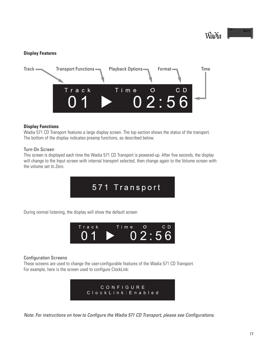Wadia

#### **Display Features**



#### **Display Functions**

Wadia 571 CD Transport features a large display screen. The top section shows the status of the transport. The bottom of the display indicates preamp functions, as described below.

#### Turn-On Screen

This screen is displayed each time the Wadia 571 CD Transport is powered-up. After five seconds, the display will change to the Input screen with internal transport selected, then change again to the Volume screen with the volume set to Zero.



During normal listening, the display will show the default screen



#### Configuration Screens

These screens are used to change the user-configurable features of the Wadia 571 CD Transport. For example, here is the screen used to configure ClockLink:



*Note: For instructions on how to Configure the Wadia 571 CD Transport, please see Configurations.*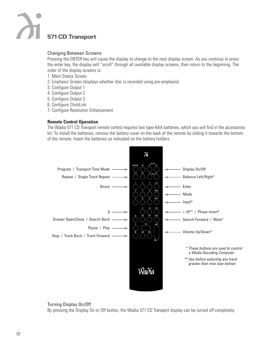## **571CD Transport**

#### Changing Between Screens

Pressing the ENTER key will cause the display to change to the next display screen. As you continue to press the enter key, the display will "scroll" through all available display screens, then return to the beginning. The order of the display screens is:

- 1. Main Status Screen
- 2. Emphasis Screen (displays whether disc is recorded using pre-emphasis)
- 3. Configure Output 1
- 4. Configure Output 2
- 5. Configure Output 3
- 6. Configure ClockLink
- 7. Configure Resolution Enhancement

#### **Remote Control Operation**

The Wadia 571 CD Transport remote control requires two type-AAA batteries, which you will find in the accessories kit. To install the batteries, remove the battery cover on the back of the remote by sliding it towards the bottom of the remote. Insert the batteries as indicated on the battery holders.



#### Turning Display On/Off

By pressing the Display On or Off button, the Wadia 571 CD Transport display can be turned off completely.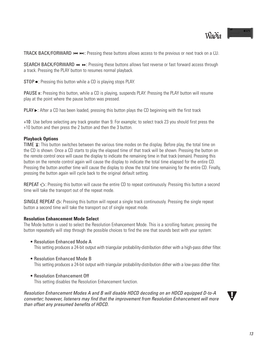### $Wa\partial ia$

TRACK BACK/FORWARD  $\leftrightarrow$ : Pressing these buttons allows access to the previous or next track on a CD.

SEARCH BACK/FORWARD << >>>>: Pressing these buttons allows fast reverse or fast forward access through a track. Pressing the PLAY button to resumes normal playback.

STOP  $\blacksquare$ : Pressing this button while a CD is playing stops PLAY.

PAUSE II: Pressing this button, while a CD is playing, suspends PLAY. Pressing the PLAY button will resume play at the point where the pause button was pressed.

 $\text{PLAY}$   $\blacktriangleright$ : After a CD has been loaded, pressing this button plays the CD beginning with the first track

+10: Use before selecting any track greater than 9. For example; to select track 23 you should first press the +10 button and then press the 2 button and then the 3 button.

#### **Playback Options**

TIME  $\Xi$ : This button switches between the various time modes on the display. Before play, the total time on the CD is shown. Once a CD starts to play the elapsed time of that track will be shown. Pressing the button on the remote control once will cause the display to indicate the remaining time in that track (remain). Pressing this button on the remote control again will cause the display to indicate the total time elapsed for the entire CD. Pressing the button another time will cause the display to show the total time remaining for the entire CD. Finally, pressing the button again will cycle back to the original default setting.

REPEAT  $\odot$ : Pressing this button will cause the entire CD to repeat continuously. Pressing this button a second time will take the transport out of the repeat mode.

SINGLE REPEAT  $\Phi$ : Pressing this button will repeat a single track continuously. Pressing the single repeat button a second time will take the transport out of single repeat mode.

#### **Resolution Enhancement Mode Select**

The Mode button is used to select the Resolution Enhancement Mode. This is a scrolling feature; pressing the button repeatedly will step through the possible choices to find the one that sounds best with your system:

- Resolution Enhanced Mode A This setting produces a 24-bit output with triangular probability-distribution dither with a high-pass dither filter.
- Resolution Enhanced Mode B This setting produces a 24-bit output with triangular probability-distribution dither with a low-pass dither filter.
- Resolution Enhancement Off This setting disables the Resolution Enhancement function.

*Resolution Enhancement Modes A and B will disable HDCD decoding on an HDCD equipped D-to-A converter; however, listeners may find that the improvement from Resolution Enhancement will more than offset any presumed benefits of HDCD.*

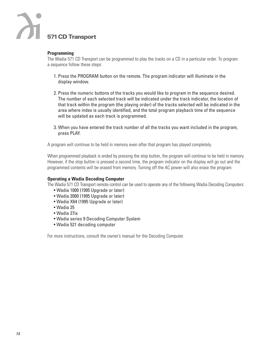

#### **Programming**

The Wadia 571 CD Transport can be programmed to play the tracks on a CD in a particular order. To program a sequence follow these steps:

- 1. Press the PROGRAM button on the remote. The program indicator will illuminate in the display window.
- 2. Press the numeric buttons of the tracks you would like to program in the sequence desired. The number of each selected track will be indicated under the track indicator, the location of that track within the program (the playing order) of the tracks selected will be indicated in the area where index is usually identified, and the total program playback time of the sequence will be updated as each track is programmed.
- 3. When you have entered the track number of all the tracks you want included in the program, press PLAY.

A program will continue to be held in memory even after that program has played completely.

When programmed playback is ended by pressing the stop button, the program will continue to be held in memory. However, if the stop button is pressed a second time, the program indicator on the display will go out and the programmed contents will be erased from memory. Turning off the AC power will also erase the program.

#### **Operating a Wadia Decoding Computer**

The Wadia 571 CD Transport remote control can be used to operate any of the following Wadia Decoding Computers:

- Wadia 1000 (1995 Upgrade or later)
- Wadia 2000 (1995 Upgrade or later)
- Wadia X64 (1995 Upgrade or later)
- Wadia 25
- Wadia 27ix
- Wadia series 9 Decoding Computer System
- Wadia 521 decoding computer

For more instructions, consult the owner's manual for the Decoding Computer.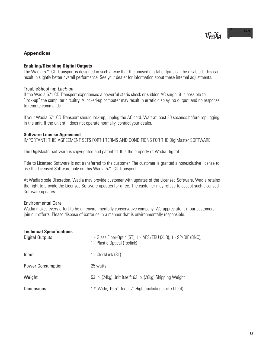#### **Appendices**

#### **Enabling/Disabling Digital Outputs**

The Wadia 571 CD Transport is designed in such a way that the unused digital outputs can be disabled. This can result in slightly better overall performance. See your dealer for information about these internal adjustments.

#### TroubleShooting: *Lock-up*

If the Wadia 571 CD Transport experiences a powerful static shock or sudden AC surge, it is possible to "lock-up" the computer circuitry. A locked-up computer may result in erratic display, no output, and no response to remote commands.

If your Wadia 571 CD Transport should lock-up, unplug the AC cord. Wait at least 30 seconds before replugging in the unit. If the unit still does not operate normally, contact your dealer.

#### **Software License Agreement**

IMPORTANT! THIS AGREEMENT SETS FORTH TERMS AND CONDITIONS FOR THE DigiMaster SOFTWARE.

The DigiMaster software is copyrighted and patented. It is the property of Wadia Digital.

Title to Licensed Software is not transferred to the customer. The customer is granted a nonexclusive license to use the Licensed Software only on this Wadia 571 CD Transport.

At Wadia's sole Discretion, Wadia may provide customer with updates of the Licensed Software. Wadia retains the right to provide the Licensed Software updates for a fee. The customer may refuse to accept such Licensed Software updates.

#### Environmental Care

Wadia makes every effort to be an environmentally conservative company. We appreciate it if our customers join our efforts. Please dispose of batteries in a manner that is environmentally responsible.

| <b>Technical Specifications</b><br><b>Digital Outputs</b> | 1 - Glass Fiber-Optic (ST), 1 - AES/EBU (XLR), 1 - SP/DIF (BNC),<br>1 - Plastic Optical (Toslink) |
|-----------------------------------------------------------|---------------------------------------------------------------------------------------------------|
| Input                                                     | 1 - ClockLink (ST)                                                                                |
| <b>Power Consumption</b>                                  | 25 watts                                                                                          |
| Weight                                                    | 53 lb. (24kg) Unit itself; 62 lb. (28kg) Shipping Weight                                          |
| <b>Dimensions</b>                                         | 17" Wide, 16.5" Deep, 7" High (including spiked feet)                                             |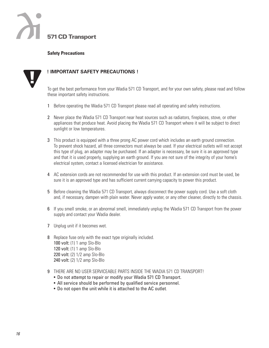

#### **Safety Precautions**



#### **! IMPORTANT SAFETY PRECAUTIONS !**

To get the best performance from your Wadia 571 CD Transport, and for your own safety, please read and follow these important safety instructions.

- 1 Before operating the Wadia 571 CD Transport please read all operating and safety instructions.
- 2 Never place the Wadia 571 CD Transport near heat sources such as radiators, fireplaces, stove, or other appliances that produce heat. Avoid placing the Wadia 571 CD Transport where it will be subject to direct sunlight or low temperatures.
- 3 This product is equipped with a three prong AC power cord which includes an earth ground connection. To prevent shock hazard, all three connectors must always be used. If your electrical outlets will not accept this type of plug, an adapter may be purchased. If an adapter is necessary, be sure it is an approved type and that it is used properly, supplying an earth ground. If you are not sure of the integrity of your home's electrical system, contact a licensed electrician for assistance.
- 4 AC extension cords are not recommended for use with this product. If an extension cord must be used, be sure it is an approved type and has sufficient current carrying capacity to power this product.
- 5 Before cleaning the Wadia 571 CD Transport, always disconnect the power supply cord. Use a soft cloth and, if necessary, dampen with plain water. Never apply water, or any other cleaner, directly to the chassis.
- 6 If you smell smoke, or an abnormal smell, immediately unplug the Wadia 571 CD Transport from the power supply and contact your Wadia dealer.
- 7 Unplug unit if it becomes wet.
- 8 Replace fuse only with the exact type originally included. 100 volt: (1) 1 amp Slo-Blo 120 volt: (1) 1 amp Slo-Blo 220 volt: (2) 1/2 amp Slo-Blo 240 volt: (2) 1/2 amp Slo-Blo
- 9 THERE ARE NO USER SERVICEABLE PARTS INSIDE THE WADIA 571 CD TRANSPORT!
	- Do not attempt to repair or modify your Wadia 571 CD Transport.
	- All service should be performed by qualified service personnel.
	- Do not open the unit while it is attached to the AC outlet.